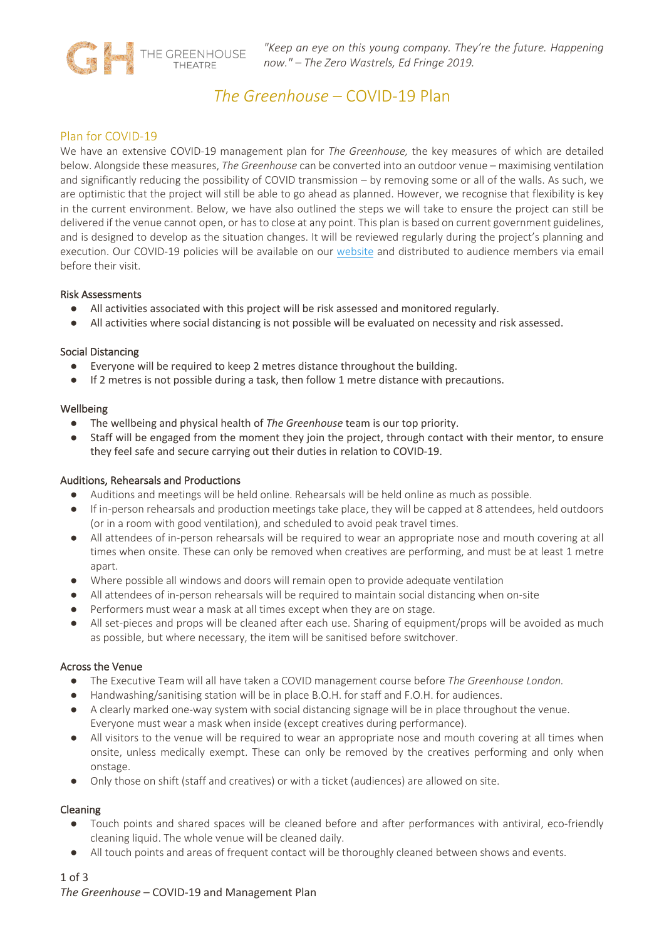

# *The Greenhouse* – COVID-19 Plan

# Plan for COVID-19

We have an extensive COVID-19 management plan for *The Greenhouse,* the key measures of which are detailed below. Alongside these measures, *The Greenhouse* can be converted into an outdoor venue – maximising ventilation and significantly reducing the possibility of COVID transmission – by removing some or all of the walls. As such, we are optimistic that the project will still be able to go ahead as planned. However, we recognise that flexibility is key in the current environment. Below, we have also outlined the steps we will take to ensure the project can still be delivered if the venue cannot open, or has to close at any point. This plan is based on current government guidelines, and is designed to develop as the situation changes. It will be reviewed regularly during the project's planning and execution. Our COVID-19 policies will be available on our website and distributed to audience members via email before their visit.

#### Risk Assessments

- All activities associated with this project will be risk assessed and monitored regularly.
- All activities where social distancing is not possible will be evaluated on necessity and risk assessed.

# Social Distancing

- Everyone will be required to keep 2 metres distance throughout the building.
- If 2 metres is not possible during a task, then follow 1 metre distance with precautions.

#### Wellbeing

- The wellbeing and physical health of *The Greenhouse* team is our top priority.
- Staff will be engaged from the moment they join the project, through contact with their mentor, to ensure they feel safe and secure carrying out their duties in relation to COVID-19.

# Auditions, Rehearsals and Productions

- Auditions and meetings will be held online. Rehearsals will be held online as much as possible.
- If in-person rehearsals and production meetings take place, they will be capped at 8 attendees, held outdoors (or in a room with good ventilation), and scheduled to avoid peak travel times.
- All attendees of in-person rehearsals will be required to wear an appropriate nose and mouth covering at all times when onsite. These can only be removed when creatives are performing, and must be at least 1 metre apart.
- Where possible all windows and doors will remain open to provide adequate ventilation
- All attendees of in-person rehearsals will be required to maintain social distancing when on-site
- Performers must wear a mask at all times except when they are on stage.
- All set-pieces and props will be cleaned after each use. Sharing of equipment/props will be avoided as much as possible, but where necessary, the item will be sanitised before switchover.

# Across the Venue

- The Executive Team will all have taken a COVID management course before *The Greenhouse London.*
- Handwashing/sanitising station will be in place B.O.H. for staff and F.O.H. for audiences.
- A clearly marked one-way system with social distancing signage will be in place throughout the venue. Everyone must wear a mask when inside (except creatives during performance).
- All visitors to the venue will be required to wear an appropriate nose and mouth covering at all times when onsite, unless medically exempt. These can only be removed by the creatives performing and only when onstage.
- Only those on shift (staff and creatives) or with a ticket (audiences) are allowed on site.

# Cleaning

- Touch points and shared spaces will be cleaned before and after performances with antiviral, eco-friendly cleaning liquid. The whole venue will be cleaned daily.
- All touch points and areas of frequent contact will be thoroughly cleaned between shows and events.

# 1 of 3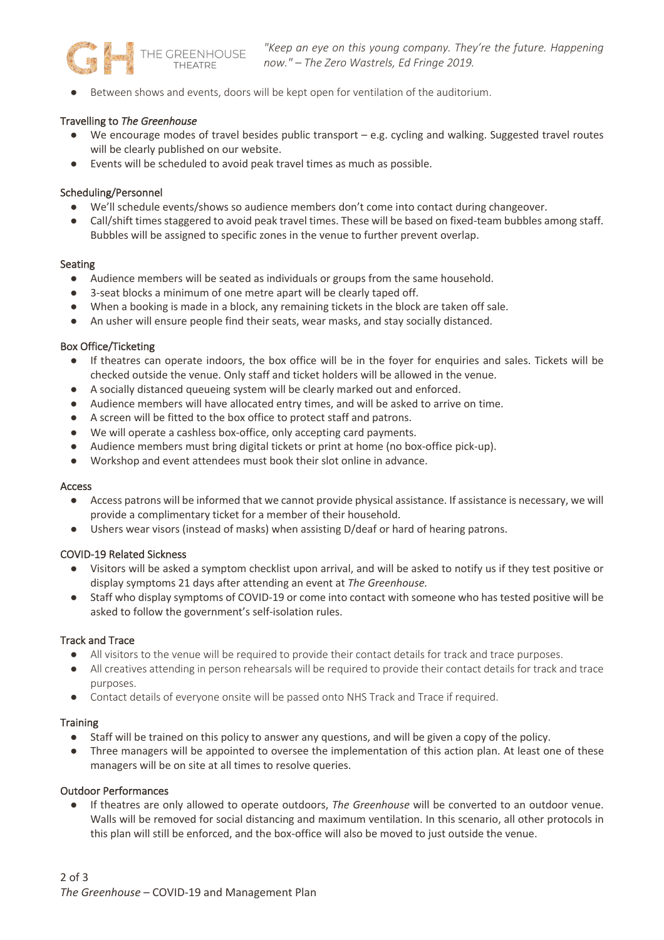

Between shows and events, doors will be kept open for ventilation of the auditorium.

#### Travelling to *The Greenhouse*

- We encourage modes of travel besides public transport e.g. cycling and walking. Suggested travel routes will be clearly published on our website.
- Events will be scheduled to avoid peak travel times as much as possible.

#### Scheduling/Personnel

- We'll schedule events/shows so audience members don't come into contact during changeover.
- Call/shift times staggered to avoid peak travel times. These will be based on fixed-team bubbles among staff. Bubbles will be assigned to specific zones in the venue to further prevent overlap.

#### Seating

- Audience members will be seated as individuals or groups from the same household.
- 3-seat blocks a minimum of one metre apart will be clearly taped off.
- When a booking is made in a block, any remaining tickets in the block are taken off sale.
- An usher will ensure people find their seats, wear masks, and stay socially distanced.

#### Box Office/Ticketing

- If theatres can operate indoors, the box office will be in the foyer for enquiries and sales. Tickets will be checked outside the venue. Only staff and ticket holders will be allowed in the venue.
- A socially distanced queueing system will be clearly marked out and enforced.
- Audience members will have allocated entry times, and will be asked to arrive on time.
- A screen will be fitted to the box office to protect staff and patrons.
- We will operate a cashless box-office, only accepting card payments.
- Audience members must bring digital tickets or print at home (no box-office pick-up).
- Workshop and event attendees must book their slot online in advance.

#### Access

- Access patrons will be informed that we cannot provide physical assistance. If assistance is necessary, we will provide a complimentary ticket for a member of their household.
- Ushers wear visors (instead of masks) when assisting D/deaf or hard of hearing patrons.

# COVID-19 Related Sickness

- Visitors will be asked a symptom checklist upon arrival, and will be asked to notify us if they test positive or display symptoms 21 days after attending an event at *The Greenhouse.*
- Staff who display symptoms of COVID-19 or come into contact with someone who has tested positive will be asked to follow the government's self-isolation rules.

#### Track and Trace

- All visitors to the venue will be required to provide their contact details for track and trace purposes.
- All creatives attending in person rehearsals will be required to provide their contact details for track and trace purposes.
- Contact details of everyone onsite will be passed onto NHS Track and Trace if required.

#### **Training**

- Staff will be trained on this policy to answer any questions, and will be given a copy of the policy.
- Three managers will be appointed to oversee the implementation of this action plan. At least one of these managers will be on site at all times to resolve queries.

#### Outdoor Performances

● If theatres are only allowed to operate outdoors, *The Greenhouse* will be converted to an outdoor venue. Walls will be removed for social distancing and maximum ventilation. In this scenario, all other protocols in this plan will still be enforced, and the box-office will also be moved to just outside the venue.